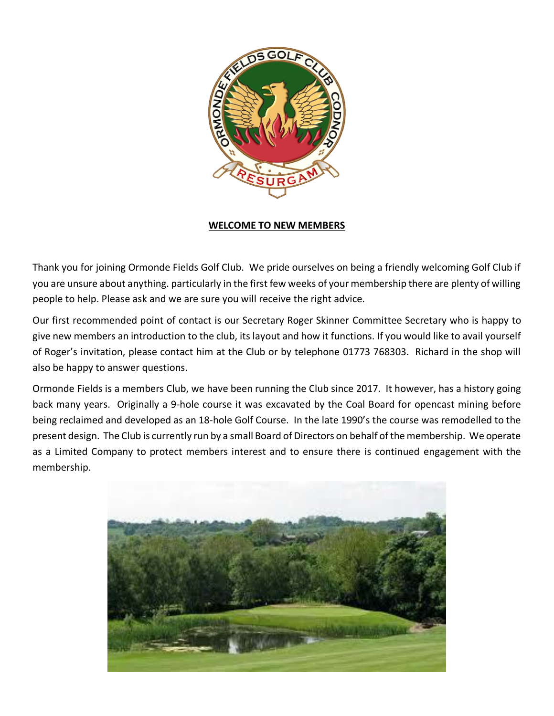

#### **WELCOME TO NEW MEMBERS**

Thank you for joining Ormonde Fields Golf Club. We pride ourselves on being a friendly welcoming Golf Club if you are unsure about anything. particularly in the first few weeks of your membership there are plenty of willing people to help. Please ask and we are sure you will receive the right advice.

Our first recommended point of contact is our Secretary Roger Skinner Committee Secretary who is happy to give new members an introduction to the club, its layout and how it functions. If you would like to avail yourself of Roger's invitation, please contact him at the Club or by telephone 01773 768303. Richard in the shop will also be happy to answer questions.

Ormonde Fields is a members Club, we have been running the Club since 2017. It however, has a history going back many years. Originally a 9-hole course it was excavated by the Coal Board for opencast mining before being reclaimed and developed as an 18-hole Golf Course. In the late 1990's the course was remodelled to the present design. The Club is currently run by a small Board of Directors on behalf of the membership. We operate as a Limited Company to protect members interest and to ensure there is continued engagement with the membership.

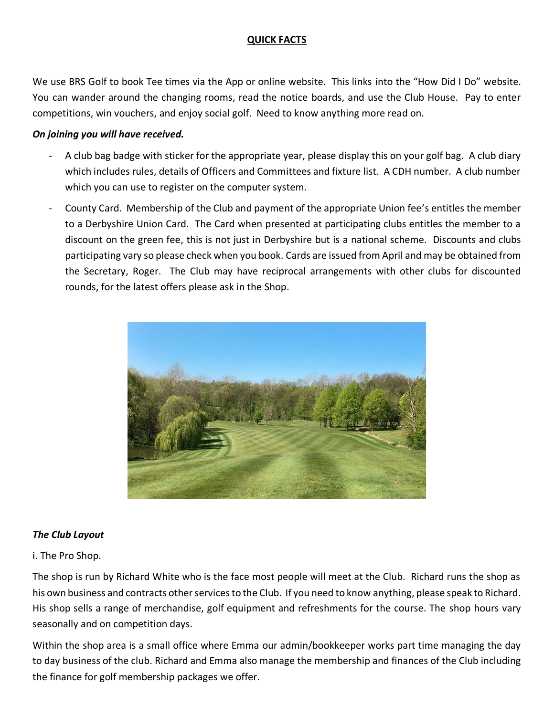# **QUICK FACTS**

We use BRS Golf to book Tee times via the App or online website. This links into the "How Did I Do" website. You can wander around the changing rooms, read the notice boards, and use the Club House. Pay to enter competitions, win vouchers, and enjoy social golf. Need to know anything more read on.

### *On joining you will have received.*

- A club bag badge with sticker for the appropriate year, please display this on your golf bag. A club diary which includes rules, details of Officers and Committees and fixture list. A CDH number. A club number which you can use to register on the computer system.
- County Card. Membership of the Club and payment of the appropriate Union fee's entitles the member to a Derbyshire Union Card. The Card when presented at participating clubs entitles the member to a discount on the green fee, this is not just in Derbyshire but is a national scheme. Discounts and clubs participating vary so please check when you book. Cards are issued from April and may be obtained from the Secretary, Roger. The Club may have reciprocal arrangements with other clubs for discounted rounds, for the latest offers please ask in the Shop.



# *The Club Layout*

# i. The Pro Shop.

The shop is run by Richard White who is the face most people will meet at the Club. Richard runs the shop as his own business and contracts other services to the Club. If you need to know anything, please speak to Richard. His shop sells a range of merchandise, golf equipment and refreshments for the course. The shop hours vary seasonally and on competition days.

Within the shop area is a small office where Emma our admin/bookkeeper works part time managing the day to day business of the club. Richard and Emma also manage the membership and finances of the Club including the finance for golf membership packages we offer.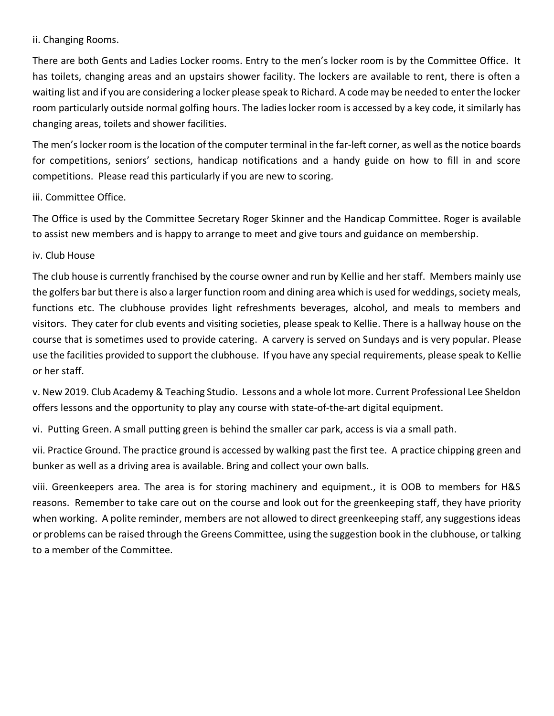ii. Changing Rooms.

There are both Gents and Ladies Locker rooms. Entry to the men's locker room is by the Committee Office. It has toilets, changing areas and an upstairs shower facility. The lockers are available to rent, there is often a waiting list and if you are considering a locker please speak to Richard. A code may be needed to enter the locker room particularly outside normal golfing hours. The ladies locker room is accessed by a key code, it similarly has changing areas, toilets and shower facilities.

The men's locker room is the location of the computer terminal in the far-left corner, as well asthe notice boards for competitions, seniors' sections, handicap notifications and a handy guide on how to fill in and score competitions. Please read this particularly if you are new to scoring.

### iii. Committee Office.

The Office is used by the Committee Secretary Roger Skinner and the Handicap Committee. Roger is available to assist new members and is happy to arrange to meet and give tours and guidance on membership.

## iv. Club House

The club house is currently franchised by the course owner and run by Kellie and her staff. Members mainly use the golfers bar but there is also a larger function room and dining area which is used for weddings, society meals, functions etc. The clubhouse provides light refreshments beverages, alcohol, and meals to members and visitors. They cater for club events and visiting societies, please speak to Kellie. There is a hallway house on the course that is sometimes used to provide catering. A carvery is served on Sundays and is very popular. Please use the facilities provided to support the clubhouse. If you have any special requirements, please speak to Kellie or her staff.

v. New 2019. Club Academy & Teaching Studio. Lessons and a whole lot more. Current Professional Lee Sheldon offers lessons and the opportunity to play any course with state-of-the-art digital equipment.

vi. Putting Green. A small putting green is behind the smaller car park, access is via a small path.

vii. Practice Ground. The practice ground is accessed by walking past the first tee. A practice chipping green and bunker as well as a driving area is available. Bring and collect your own balls.

viii. Greenkeepers area. The area is for storing machinery and equipment., it is OOB to members for H&S reasons. Remember to take care out on the course and look out for the greenkeeping staff, they have priority when working. A polite reminder, members are not allowed to direct greenkeeping staff, any suggestions ideas or problems can be raised through the Greens Committee, using the suggestion book in the clubhouse, or talking to a member of the Committee.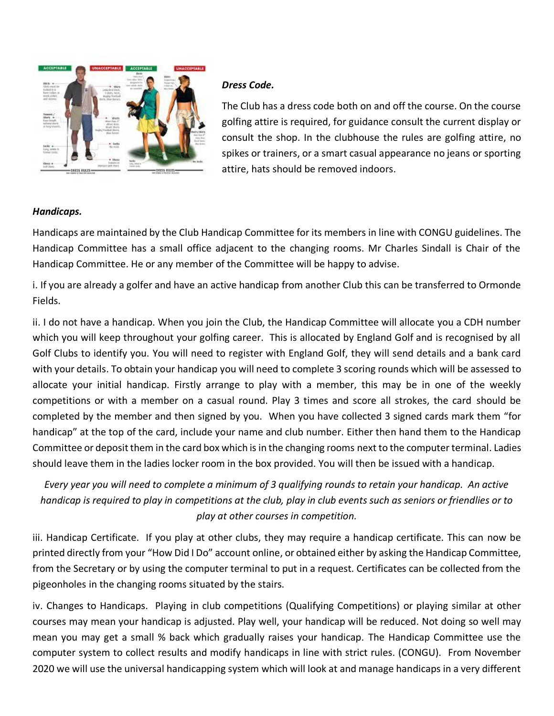

# *Dress Code.*

The Club has a dress code both on and off the course. On the course golfing attire is required, for guidance consult the current display or consult the shop. In the clubhouse the rules are golfing attire, no spikes or trainers, or a smart casual appearance no jeans or sporting attire, hats should be removed indoors.

# *Handicaps.*

Handicaps are maintained by the Club Handicap Committee for its members in line with CONGU guidelines. The Handicap Committee has a small office adjacent to the changing rooms. Mr Charles Sindall is Chair of the Handicap Committee. He or any member of the Committee will be happy to advise.

i. If you are already a golfer and have an active handicap from another Club this can be transferred to Ormonde Fields.

ii. I do not have a handicap. When you join the Club, the Handicap Committee will allocate you a CDH number which you will keep throughout your golfing career. This is allocated by England Golf and is recognised by all Golf Clubs to identify you. You will need to register with England Golf, they will send details and a bank card with your details. To obtain your handicap you will need to complete 3 scoring rounds which will be assessed to allocate your initial handicap. Firstly arrange to play with a member, this may be in one of the weekly competitions or with a member on a casual round. Play 3 times and score all strokes, the card should be completed by the member and then signed by you. When you have collected 3 signed cards mark them "for handicap" at the top of the card, include your name and club number. Either then hand them to the Handicap Committee or deposit them in the card box which is in the changing rooms next to the computer terminal. Ladies should leave them in the ladies locker room in the box provided. You will then be issued with a handicap.

*Every year you will need to complete a minimum of 3 qualifying rounds to retain your handicap. An active handicap is required to play in competitions at the club, play in club events such as seniors or friendlies or to play at other courses in competition.*

iii. Handicap Certificate. If you play at other clubs, they may require a handicap certificate. This can now be printed directly from your "How Did I Do" account online, or obtained either by asking the Handicap Committee, from the Secretary or by using the computer terminal to put in a request. Certificates can be collected from the pigeonholes in the changing rooms situated by the stairs.

iv. Changes to Handicaps. Playing in club competitions (Qualifying Competitions) or playing similar at other courses may mean your handicap is adjusted. Play well, your handicap will be reduced. Not doing so well may mean you may get a small % back which gradually raises your handicap. The Handicap Committee use the computer system to collect results and modify handicaps in line with strict rules. (CONGU). From November 2020 we will use the universal handicapping system which will look at and manage handicaps in a very different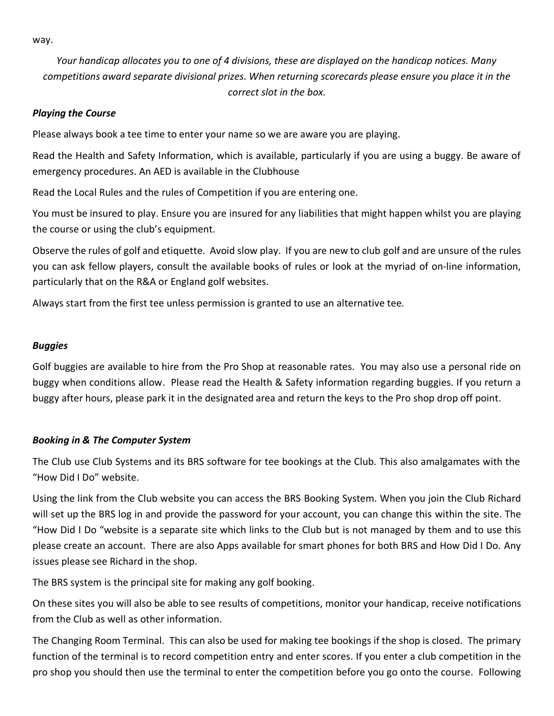way.

*Your handicap allocates you to one of 4 divisions, these are displayed on the handicap notices. Many competitions award separate divisional prizes. When returning scorecards please ensure you place it in the correct slot in the box.*

### *Playing the Course*

Please always book a tee time to enter your name so we are aware you are playing.

Read the Health and Safety Information, which is available, particularly if you are using a buggy. Be aware of emergency procedures. An AED is available in the Clubhouse

Read the Local Rules and the rules of Competition if you are entering one.

You must be insured to play. Ensure you are insured for any liabilities that might happen whilst you are playing the course or using the club's equipment.

Observe the rules of golf and etiquette. Avoid slow play. If you are new to club golf and are unsure of the rules you can ask fellow players, consult the available books of rules or look at the myriad of on-line information, particularly that on the R&A or England golf websites.

Always start from the first tee unless permission is granted to use an alternative tee.

### *Buggies*

Golf buggies are available to hire from the Pro Shop at reasonable rates. You may also use a personal ride on buggy when conditions allow. Please read the Health & Safety information regarding buggies. If you return a buggy after hours, please park it in the designated area and return the keys to the Pro shop drop off point.

### *Booking in & The Computer System*

The Club use Club Systems and its BRS software for tee bookings at the Club. This also amalgamates with the "How Did I Do" website.

Using the link from the Club website you can access the BRS Booking System. When you join the Club Richard will set up the BRS log in and provide the password for your account, you can change this within the site. The "How Did I Do "website is a separate site which links to the Club but is not managed by them and to use this please create an account. There are also Apps available for smart phones for both BRS and How Did I Do. Any issues please see Richard in the shop.

The BRS system is the principal site for making any golf booking.

On these sites you will also be able to see results of competitions, monitor your handicap, receive notifications from the Club as well as other information.

The Changing Room Terminal. This can also be used for making tee bookings if the shop is closed. The primary function of the terminal is to record competition entry and enter scores. If you enter a club competition in the pro shop you should then use the terminal to enter the competition before you go onto the course. Following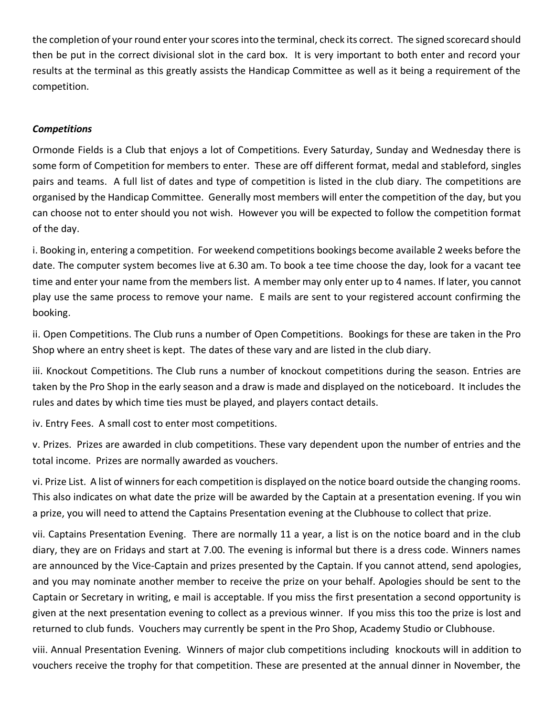the completion of your round enter your scores into the terminal, check its correct. The signed scorecard should then be put in the correct divisional slot in the card box. It is very important to both enter and record your results at the terminal as this greatly assists the Handicap Committee as well as it being a requirement of the competition.

## *Competitions*

Ormonde Fields is a Club that enjoys a lot of Competitions. Every Saturday, Sunday and Wednesday there is some form of Competition for members to enter. These are off different format, medal and stableford, singles pairs and teams. A full list of dates and type of competition is listed in the club diary. The competitions are organised by the Handicap Committee. Generally most members will enter the competition of the day, but you can choose not to enter should you not wish. However you will be expected to follow the competition format of the day.

i. Booking in, entering a competition. For weekend competitions bookings become available 2 weeks before the date. The computer system becomes live at 6.30 am. To book a tee time choose the day, look for a vacant tee time and enter your name from the members list. A member may only enter up to 4 names. If later, you cannot play use the same process to remove your name. E mails are sent to your registered account confirming the booking.

ii. Open Competitions. The Club runs a number of Open Competitions. Bookings for these are taken in the Pro Shop where an entry sheet is kept. The dates of these vary and are listed in the club diary.

iii. Knockout Competitions. The Club runs a number of knockout competitions during the season. Entries are taken by the Pro Shop in the early season and a draw is made and displayed on the noticeboard. It includes the rules and dates by which time ties must be played, and players contact details.

iv. Entry Fees. A small cost to enter most competitions.

v. Prizes. Prizes are awarded in club competitions. These vary dependent upon the number of entries and the total income. Prizes are normally awarded as vouchers.

vi. Prize List. A list of winners for each competition is displayed on the notice board outside the changing rooms. This also indicates on what date the prize will be awarded by the Captain at a presentation evening. If you win a prize, you will need to attend the Captains Presentation evening at the Clubhouse to collect that prize.

vii. Captains Presentation Evening. There are normally 11 a year, a list is on the notice board and in the club diary, they are on Fridays and start at 7.00. The evening is informal but there is a dress code. Winners names are announced by the Vice-Captain and prizes presented by the Captain. If you cannot attend, send apologies, and you may nominate another member to receive the prize on your behalf. Apologies should be sent to the Captain or Secretary in writing, e mail is acceptable. If you miss the first presentation a second opportunity is given at the next presentation evening to collect as a previous winner. If you miss this too the prize is lost and returned to club funds. Vouchers may currently be spent in the Pro Shop, Academy Studio or Clubhouse.

viii. Annual Presentation Evening. Winners of major club competitions including knockouts will in addition to vouchers receive the trophy for that competition. These are presented at the annual dinner in November, the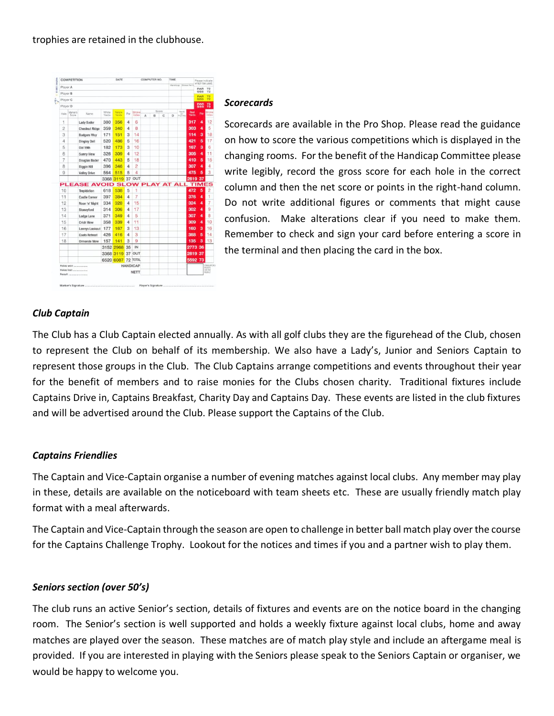

#### *Scorecards*

Scorecards are available in the Pro Shop. Please read the guidance on how to score the various competitions which is displayed in the changing rooms. For the benefit of the Handicap Committee please write legibly, record the gross score for each hole in the correct column and then the net score or points in the right-hand column. Do not write additional figures or comments that might cause confusion. Make alterations clear if you need to make them. Remember to check and sign your card before entering a score in the terminal and then placing the card in the box.

# *Club Captain*

The Club has a Club Captain elected annually. As with all golf clubs they are the figurehead of the Club, chosen to represent the Club on behalf of its membership. We also have a Lady's, Junior and Seniors Captain to represent those groups in the Club. The Club Captains arrange competitions and events throughout their year for the benefit of members and to raise monies for the Clubs chosen charity. Traditional fixtures include Captains Drive in, Captains Breakfast, Charity Day and Captains Day. These events are listed in the club fixtures and will be advertised around the Club. Please support the Captains of the Club.

# *Captains Friendlies*

The Captain and Vice-Captain organise a number of evening matches against local clubs. Any member may play in these, details are available on the noticeboard with team sheets etc. These are usually friendly match play format with a meal afterwards.

The Captain and Vice-Captain through the season are open to challenge in better ball match play over the course for the Captains Challenge Trophy. Lookout for the notices and times if you and a partner wish to play them.

### *Seniors section (over 50's)*

The club runs an active Senior's section, details of fixtures and events are on the notice board in the changing room. The Senior's section is well supported and holds a weekly fixture against local clubs, home and away matches are played over the season. These matches are of match play style and include an aftergame meal is provided. If you are interested in playing with the Seniors please speak to the Seniors Captain or organiser, we would be happy to welcome you.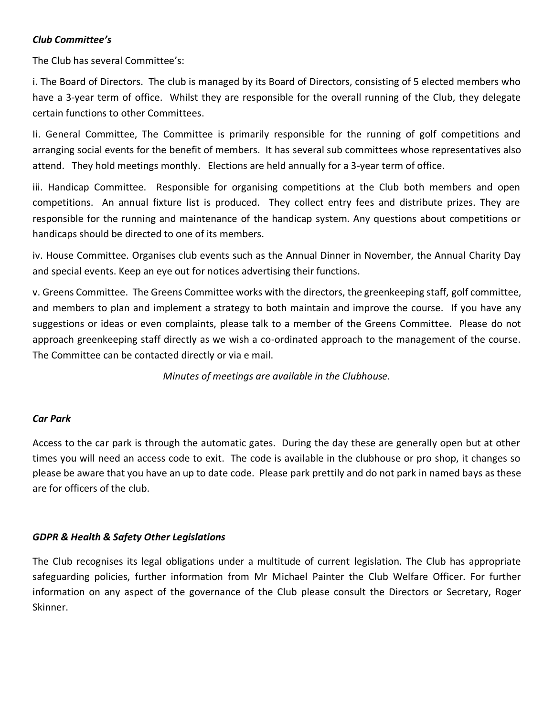# *Club Committee's*

The Club has several Committee's:

i. The Board of Directors. The club is managed by its Board of Directors, consisting of 5 elected members who have a 3-year term of office. Whilst they are responsible for the overall running of the Club, they delegate certain functions to other Committees.

Ii. General Committee, The Committee is primarily responsible for the running of golf competitions and arranging social events for the benefit of members. It has several sub committees whose representatives also attend. They hold meetings monthly. Elections are held annually for a 3-year term of office.

iii. Handicap Committee. Responsible for organising competitions at the Club both members and open competitions. An annual fixture list is produced. They collect entry fees and distribute prizes. They are responsible for the running and maintenance of the handicap system. Any questions about competitions or handicaps should be directed to one of its members.

iv. House Committee. Organises club events such as the Annual Dinner in November, the Annual Charity Day and special events. Keep an eye out for notices advertising their functions.

v. Greens Committee. The Greens Committee works with the directors, the greenkeeping staff, golf committee, and members to plan and implement a strategy to both maintain and improve the course. If you have any suggestions or ideas or even complaints, please talk to a member of the Greens Committee. Please do not approach greenkeeping staff directly as we wish a co-ordinated approach to the management of the course. The Committee can be contacted directly or via e mail.

*Minutes of meetings are available in the Clubhouse.*

### *Car Park*

Access to the car park is through the automatic gates. During the day these are generally open but at other times you will need an access code to exit. The code is available in the clubhouse or pro shop, it changes so please be aware that you have an up to date code. Please park prettily and do not park in named bays as these are for officers of the club.

### *GDPR & Health & Safety Other Legislations*

The Club recognises its legal obligations under a multitude of current legislation. The Club has appropriate safeguarding policies, further information from Mr Michael Painter the Club Welfare Officer. For further information on any aspect of the governance of the Club please consult the Directors or Secretary, Roger Skinner.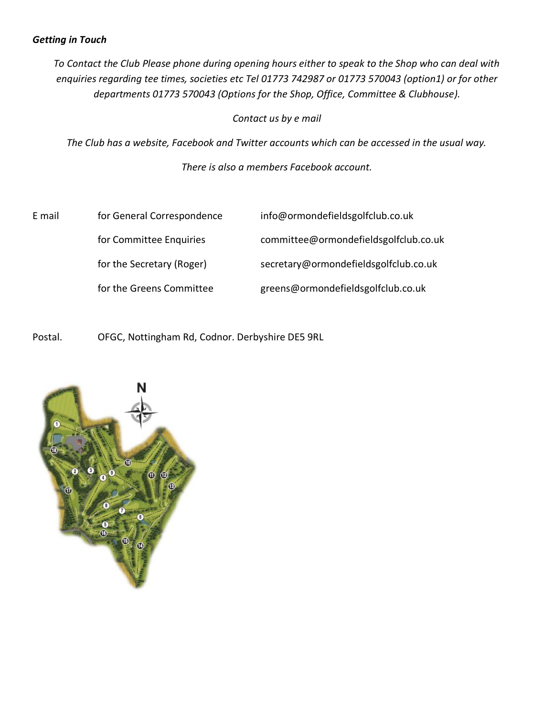## *Getting in Touch*

*To Contact the Club Please phone during opening hours either to speak to the Shop who can deal with enquiries regarding tee times, societies etc Tel 01773 742987 or 01773 570043 (option1) or for other departments 01773 570043 (Options for the Shop, Office, Committee & Clubhouse).*

*Contact us by e mail*

*The Club has a website, Facebook and Twitter accounts which can be accessed in the usual way.*

*There is also a members Facebook account.*

| E mail | for General Correspondence | info@ormondefieldsgolfclub.co.uk      |
|--------|----------------------------|---------------------------------------|
|        | for Committee Enquiries    | committee@ormondefieldsgolfclub.co.uk |
|        | for the Secretary (Roger)  | secretary@ormondefieldsgolfclub.co.uk |
|        | for the Greens Committee   | greens@ormondefieldsgolfclub.co.uk    |

Postal. OFGC, Nottingham Rd, Codnor. Derbyshire DE5 9RL

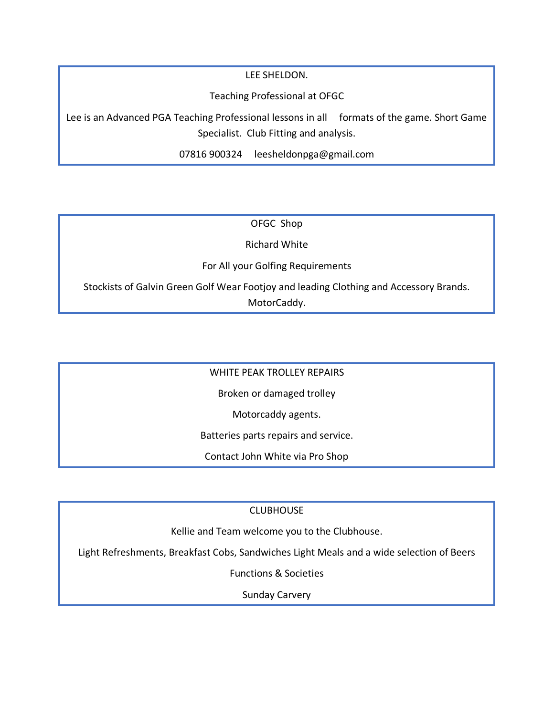LEE SHELDON.

Teaching Professional at OFGC

Lee is an Advanced PGA Teaching Professional lessons in all formats of the game. Short Game Specialist. Club Fitting and analysis.

07816 900324 leesheldonpga@gmail.com

OFGC Shop

Richard White

For All your Golfing Requirements

Stockists of Galvin Green Golf Wear Footjoy and leading Clothing and Accessory Brands. MotorCaddy.

WHITE PEAK TROLLEY REPAIRS

Broken or damaged trolley

Motorcaddy agents.

Batteries parts repairs and service.

Contact John White via Pro Shop

CLUBHOUSE

Kellie and Team welcome you to the Clubhouse.

Light Refreshments, Breakfast Cobs, Sandwiches Light Meals and a wide selection of Beers

Functions & Societies

Sunday Carvery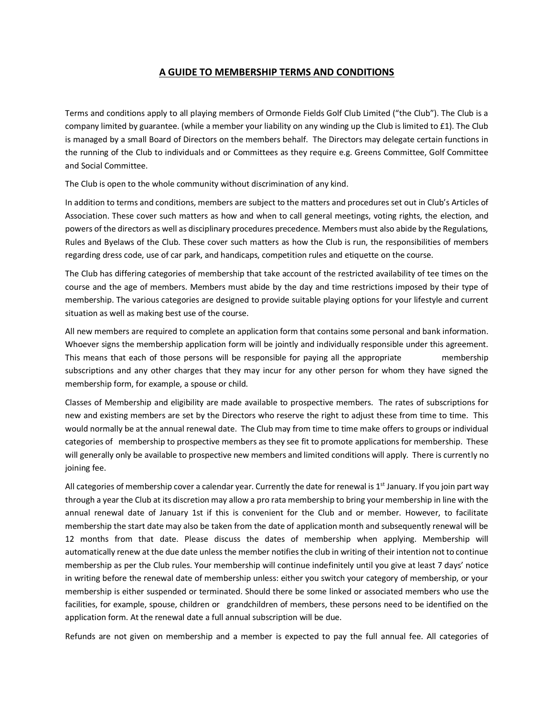#### **A GUIDE TO MEMBERSHIP TERMS AND CONDITIONS**

Terms and conditions apply to all playing members of Ormonde Fields Golf Club Limited ("the Club"). The Club is a company limited by guarantee. (while a member your liability on any winding up the Club is limited to £1). The Club is managed by a small Board of Directors on the members behalf. The Directors may delegate certain functions in the running of the Club to individuals and or Committees as they require e.g. Greens Committee, Golf Committee and Social Committee.

The Club is open to the whole community without discrimination of any kind.

In addition to terms and conditions, members are subject to the matters and procedures set out in Club's Articles of Association. These cover such matters as how and when to call general meetings, voting rights, the election, and powers of the directors as well as disciplinary procedures precedence. Members must also abide by the Regulations, Rules and Byelaws of the Club. These cover such matters as how the Club is run, the responsibilities of members regarding dress code, use of car park, and handicaps, competition rules and etiquette on the course.

The Club has differing categories of membership that take account of the restricted availability of tee times on the course and the age of members. Members must abide by the day and time restrictions imposed by their type of membership. The various categories are designed to provide suitable playing options for your lifestyle and current situation as well as making best use of the course.

All new members are required to complete an application form that contains some personal and bank information. Whoever signs the membership application form will be jointly and individually responsible under this agreement. This means that each of those persons will be responsible for paying all the appropriate membership subscriptions and any other charges that they may incur for any other person for whom they have signed the membership form, for example, a spouse or child.

Classes of Membership and eligibility are made available to prospective members. The rates of subscriptions for new and existing members are set by the Directors who reserve the right to adjust these from time to time. This would normally be at the annual renewal date. The Club may from time to time make offers to groups or individual categories of membership to prospective members as they see fit to promote applications for membership. These will generally only be available to prospective new members and limited conditions will apply. There is currently no joining fee.

All categories of membership cover a calendar year. Currently the date for renewal is  $1<sup>st</sup>$  January. If you join part way through a year the Club at its discretion may allow a pro rata membership to bring your membership in line with the annual renewal date of January 1st if this is convenient for the Club and or member. However, to facilitate membership the start date may also be taken from the date of application month and subsequently renewal will be 12 months from that date. Please discuss the dates of membership when applying. Membership will automatically renew at the due date unless the member notifies the club in writing of their intention not to continue membership as per the Club rules. Your membership will continue indefinitely until you give at least 7 days' notice in writing before the renewal date of membership unless: either you switch your category of membership, or your membership is either suspended or terminated. Should there be some linked or associated members who use the facilities, for example, spouse, children or grandchildren of members, these persons need to be identified on the application form. At the renewal date a full annual subscription will be due.

Refunds are not given on membership and a member is expected to pay the full annual fee. All categories of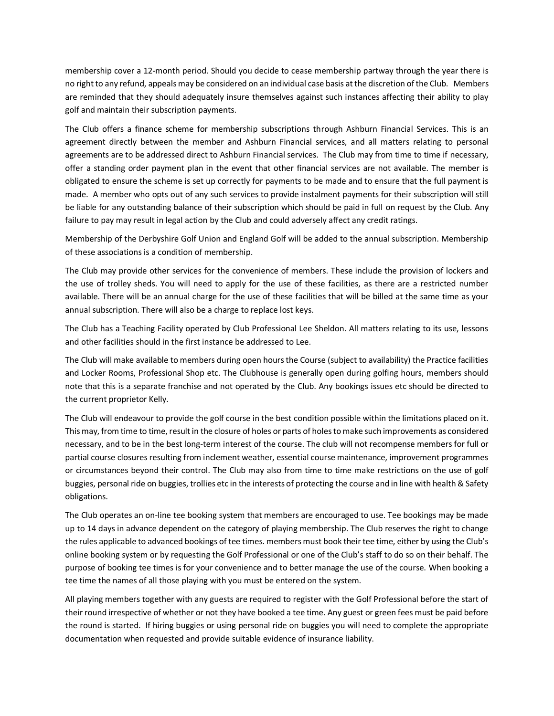membership cover a 12-month period. Should you decide to cease membership partway through the year there is no right to any refund, appeals may be considered on an individual case basis at the discretion of the Club. Members are reminded that they should adequately insure themselves against such instances affecting their ability to play golf and maintain their subscription payments.

The Club offers a finance scheme for membership subscriptions through Ashburn Financial Services. This is an agreement directly between the member and Ashburn Financial services, and all matters relating to personal agreements are to be addressed direct to Ashburn Financial services. The Club may from time to time if necessary, offer a standing order payment plan in the event that other financial services are not available. The member is obligated to ensure the scheme is set up correctly for payments to be made and to ensure that the full payment is made. A member who opts out of any such services to provide instalment payments for their subscription will still be liable for any outstanding balance of their subscription which should be paid in full on request by the Club. Any failure to pay may result in legal action by the Club and could adversely affect any credit ratings.

Membership of the Derbyshire Golf Union and England Golf will be added to the annual subscription. Membership of these associations is a condition of membership.

The Club may provide other services for the convenience of members. These include the provision of lockers and the use of trolley sheds. You will need to apply for the use of these facilities, as there are a restricted number available. There will be an annual charge for the use of these facilities that will be billed at the same time as your annual subscription. There will also be a charge to replace lost keys.

The Club has a Teaching Facility operated by Club Professional Lee Sheldon. All matters relating to its use, lessons and other facilities should in the first instance be addressed to Lee.

The Club will make available to members during open hours the Course (subject to availability) the Practice facilities and Locker Rooms, Professional Shop etc. The Clubhouse is generally open during golfing hours, members should note that this is a separate franchise and not operated by the Club. Any bookings issues etc should be directed to the current proprietor Kelly.

The Club will endeavour to provide the golf course in the best condition possible within the limitations placed on it. This may, from time to time, result in the closure of holes or parts of holes to make such improvements as considered necessary, and to be in the best long-term interest of the course. The club will not recompense members for full or partial course closures resulting from inclement weather, essential course maintenance, improvement programmes or circumstances beyond their control. The Club may also from time to time make restrictions on the use of golf buggies, personal ride on buggies, trollies etc in the interests of protecting the course and in line with health & Safety obligations.

The Club operates an on-line tee booking system that members are encouraged to use. Tee bookings may be made up to 14 days in advance dependent on the category of playing membership. The Club reserves the right to change the rules applicable to advanced bookings of tee times. members must book their tee time, either by using the Club's online booking system or by requesting the Golf Professional or one of the Club's staff to do so on their behalf. The purpose of booking tee times is for your convenience and to better manage the use of the course. When booking a tee time the names of all those playing with you must be entered on the system.

All playing members together with any guests are required to register with the Golf Professional before the start of their round irrespective of whether or not they have booked a tee time. Any guest or green fees must be paid before the round is started. If hiring buggies or using personal ride on buggies you will need to complete the appropriate documentation when requested and provide suitable evidence of insurance liability.